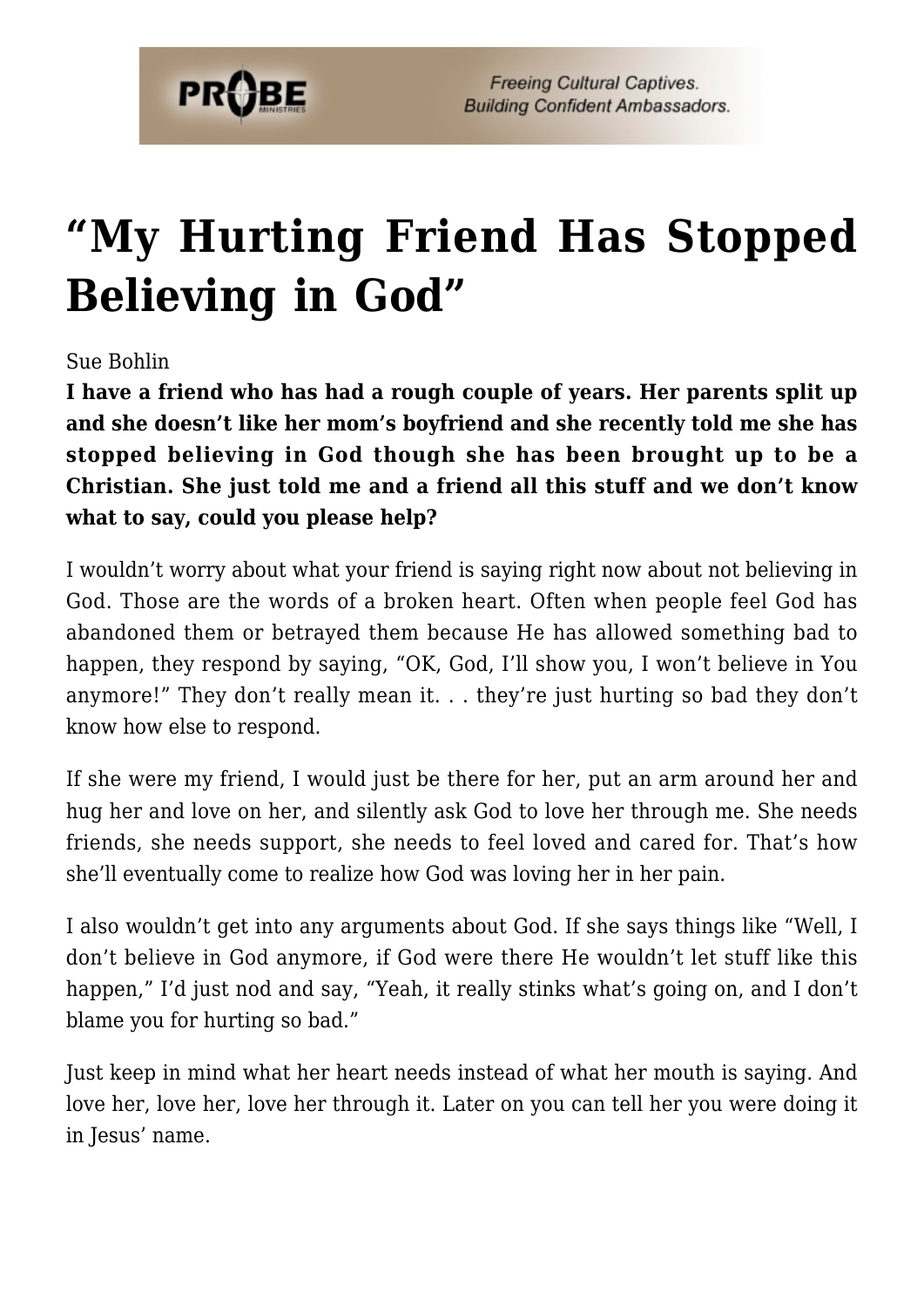

## **["My Hurting Friend Has Stopped](https://probe.org/my-hurting-friend-has-stopped-believing-in-god/) [Believing in God"](https://probe.org/my-hurting-friend-has-stopped-believing-in-god/)**

## Sue Bohlin

**I have a friend who has had a rough couple of years. Her parents split up and she doesn't like her mom's boyfriend and she recently told me she has stopped believing in God though she has been brought up to be a Christian. She just told me and a friend all this stuff and we don't know what to say, could you please help?**

I wouldn't worry about what your friend is saying right now about not believing in God. Those are the words of a broken heart. Often when people feel God has abandoned them or betrayed them because He has allowed something bad to happen, they respond by saying, "OK, God, I'll show you, I won't believe in You anymore!" They don't really mean it. . . they're just hurting so bad they don't know how else to respond.

If she were my friend, I would just be there for her, put an arm around her and hug her and love on her, and silently ask God to love her through me. She needs friends, she needs support, she needs to feel loved and cared for. That's how she'll eventually come to realize how God was loving her in her pain.

I also wouldn't get into any arguments about God. If she says things like "Well, I don't believe in God anymore, if God were there He wouldn't let stuff like this happen," I'd just nod and say, "Yeah, it really stinks what's going on, and I don't blame you for hurting so bad."

Just keep in mind what her heart needs instead of what her mouth is saying. And love her, love her, love her through it. Later on you can tell her you were doing it in Jesus' name.